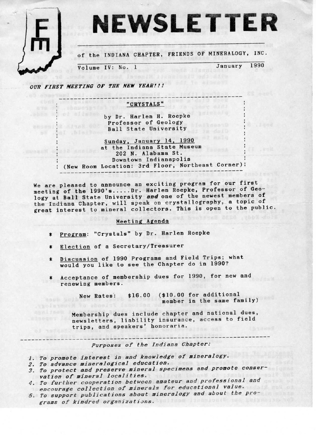

of the INDIANA CHAPTER, FRIENDS 0F MINERALOGY, INC.

Volume IV: No. 1 January 1990

OUR FIRST MEETING OF THE NEW YEAR !!!

shes shot blister

Shoes | 08 (1788.008)

mrsacht a

# \_\_\_------------------------------------------\_\_\_\_ "CRYSTALS" \_\_\_ \_ ' -- I --\_ \_\_\_\_

by Dr. Harlem H. Roepke Professor of Geology Ball State University

Sunday, January 14, 1990 at the Indiana State Museum 202 N. Alabama St. Downtown Indianapolis (New Room Location: 3rd Floor, Northeast `Corner): \_\_\_\_-----------------------------------------\_\_\_\_

We are pleased to announce an exciting program for our first meeting of the 1990's..... Dr. Harlen Roepke, Professor of Geology at Ball State University and one of the newest members of the Indiana Chapter, will speak on crystallography, a topic of great interest to mineral collectors. This is open to the public.

# Meeting Agenda

- \* Program: "Crystals" by Br. Harlem Roepke
- \* Election of a Secretary/Treasurer
- \* Discussion of 1990 Programs and Field Trips; what would you like to see the Chapter do in 1990?
- \* Acceptance of membership dues for 1990, for new and renewing members.

New Rates: \$16.00 (\$10.00 for additional<br>member in the same family)

Membership dues include chapter and national dues, newsletters, liability insurance, access to field trips, and speakers' honoraria.

\_\_--------------------------------------------------------------\_\_\_ Purposes of the Indiana Chapter:

- 1. To promote interest in and knowledge of mineralogy.
- 
- 2. To advance mineralogical education.<br>3. To protect and preserve mineral specimens and promote conservation of mineral localities.
- 4. To further cooperation between amateur and professional and -;n;<br>encourage collection of minerals for educational value.
- 5. To support publications about mineralogy and about the pro-<br>spans of kindpod enseminations grams of kindred organizations.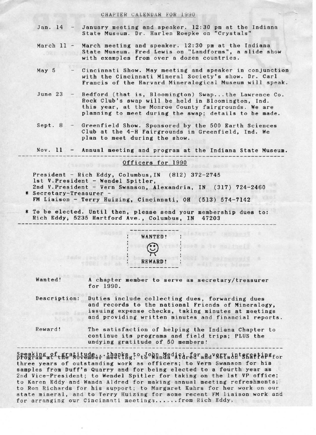#### CHAPTER CALENDAR FOR 1990

- Jan.  $14$  January meeting and speaker. 12:30 pm at the Indiana State Museum. Dr. Harlem Roepke on "Crystals"
- March 11 March meeting and speaker. 12:30 pm at the Indiana State Museum. Fred Lewis on "Landforms", a slide show with examples from over a dozen countries.
- May 5 Cincinnati Show. May meeting and speaker in conjunction with the Cincinnati Mineral Society's show. Dr. Carl Francis of the Harvard Mineralogicai Museum will speak.
- June 23 Bedford (that is, Bloomington) Swap...the Lawrence Co. Rock Club's swap will be held in Bloomington, Ind. this year, at the Monroe County fairgrounds. We are planning to meet during the swap; details to be made.
- Sept. 8 Greenfield Show. Sponsored by the 500 Earth Sciences Club at the 4-H Fairgrounds in Greenfield, Ind. We plan to meet during the show.

Nov. 11 - Annual meeting and program at the Indiana State Museum.

#### Officers for 1990

President - Rich Eddy, Columbus, IN (812) 372-2745 lst V.President - Wendel Spitler, 2nd V.President - Vern Swanson, Alexandria, IN (317) 724-2460 \* Secretary-Treasurer - FM Liaison - Terry Huizing, Cincinnati, OH (513) 574-7142

\* To be elected. Until then, please send your membership dues to: Rich Eddy, 5235 Hartford Ave., Columbus, IN 47203



Wanted! A chapter member to serve as secretary/treasurer for 1990.

Description: Duties include collecting dues, forwarding dues and records to the national Friends of Mineralogy, issuing expense checks, taking minutes at meetings and providing written minutes and financial reports

Reward! The satisfaction of helping the Indiana Chapter to continue its programs and field trips; PLUS the undying gratitude of 50 members!

speaking of gratitude: thanks to John Madifirear and REYs antshare parameter three years of outstanding work as officers; to Vern Swanson for his samples from Duff's Quarry and for being elected to a fourth year as 2nd Vice-President; to Wendel Spitler for taking on the lst VP office; to Karen Eddy and Wanda Aldred for making annual meeting refreshments; to Ron Richards for his support; to Margaret Kahrs for her work on our state mineral, and to Terry Huizing for some recent FM liaison work and for arranging our Cincinnati meetings......from Rich Eddy.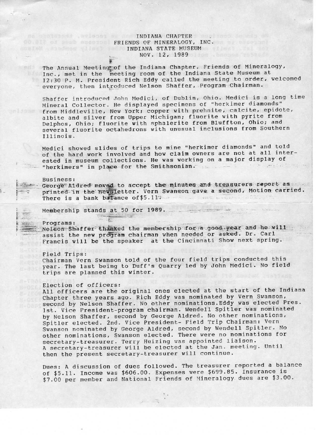### **EXECUTE INDIANA CHAPTER AND ARRESTS AND ARRIVER AND ARRESTS AND ARRIVER AND ARRIVER AND ARRIVER AND ARRIVER AND ARRIVER AND ARRIVER AND ARRIVER AND ARRIVER AND ARRIVER AND ARRIVER AND ARRIVER AND ARRIVER AND ARRIVER AND A** OD BIR OF SECRETS PRIENDS OF MINERALOGY, INC. **INDIANA STATE MUSEUM AND ARRAIGNMENT OF THE STATE STATE MUSEUM** NOV. 12, 1989

The Annual Meeting of the Indiana Chapter, Friends of Mineralogy, Inc., met in the meeting room of the Indiana State Museum at 12:30 P. M. President Rich Eddy called the meeting to order, welcomed everyone, then introduced Nelson Shaffer, Program Chairman.

Shaffer introduced John Medici, of Dublin, Ohio. Medici is a long time Mineral Collector. He displayed specimens of "herkimer diamonds" from Middleville, New York; copper with prehnite, calcite, epidote, albite and silver from Upper Michigan; fluorite with pyrite from Delphos, Ohio; fluorite with sphalerite from Bluffton, Ohio; and several fluorite octahedrons with unusual inclusions from Southern Illinois.

Medici showed slides of trips to mine "herkimer diamonds" and told of the hard work involved and how claim owners are not at all interested in museum collections. He was working on a major display of "herkimers" in place for the Smithsonian. the men

#### **Business:**

George Aldred moved to accept the minutes and treasurers report as printed in the newsletter. Vern Swanson gave a second, Motion carried. There is a bank balance of \$5.11. .. Free prouve

 $\frac{1}{2} \left( \frac{1}{2} \right) \left( \frac{1}{2} \right) \left( \frac{1}{2} \right) \left( \frac{1}{2} \right) \left( \frac{1}{2} \right) \left( \frac{1}{2} \right) \left( \frac{1}{2} \right) \left( \frac{1}{2} \right) \left( \frac{1}{2} \right) \left( \frac{1}{2} \right) \left( \frac{1}{2} \right) \left( \frac{1}{2} \right) \left( \frac{1}{2} \right) \left( \frac{1}{2} \right) \left( \frac{1}{2} \right) \left( \frac{1}{2} \right) \left( \frac$ 

Membership stands at 50 for 1989.

Programs: Nelson Shaffer thanked the membership for a good year and he will assist the new program chairman when needed or asked. Dr. Carl Francis will be the speaker at the Cincinnati Show next spring.

Field Trips: Chairman Vern Swanson told of the four field trips conducted this year. The last being to Duff's Quarry led by John Medici. No field trips are planned this winter.

## Election of officers:

All officers are the original ones elected at the start of the Indiana Chapter three years ago. Rich Eddy was nominated by Vern Swanson, second by Nelson Shaffer. No other nominations. Eddy was elected Pres. 1st. Vice President-program chairman. Wendell Spitler was nominated by Nelson Shaffer, second by George Aldred. No other nominations, Spitler elected. 2nd. Vice President- Field Trip Chairman: Vern Swanson nominated by George Aldred, second by Wendell Spitler. No other nominations, Swanson elected. There were no nominations for secretary-treasurer. Terry Huizing was appointed liaison. A secretary-treasurer will be elected at the Jan. meeting. Until then the present secretary-treasurer will continue.

Dues: A discussion of dues followed. The treasurer reported a balance of \$5.11. Income was \$606.00. Expenses were \$699.85. Insurance is \$7.00 per member and National Friends of Mineralogy dues are \$3.00.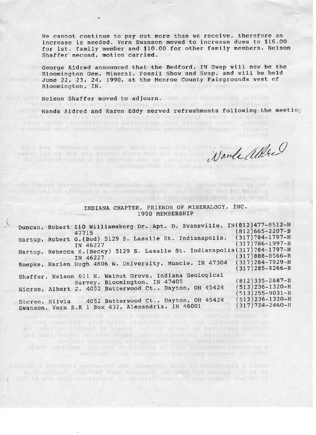We cannot continue to pay out more than we receive, therefore an increase is needed. Vern Swanson moved to increase dues to \$16.00 for lst. family member and \$10.00 for other family members. Nelson Shaffer` second, motion carried.

George Aldred announced that the Bedford, IN Swap will now be the Bloomington Gem, Mineral, Fossil Show and Swap, and will be held June 22, 23, 24, 1990, at the Monroe County Fairgrounds west of Bloomington, IN.

nioninos soil enoisutony istanovaliv snoibedadon alizouli faisver

bo cing moison (brocos a svap mornsväsissv. 1833 il ou als hi želal d

Nelson Shaffer moved to adjourn.

Wanda Aldred and Karen Eddy served refreshments following the meeting

Nante Albert

### INDIANA CHAPTER, FRIENDS OF MINERALOGY, INC. 1990 MEMBERSHIP `

| Duncan, Robert 110 Williamsburg Dr. Apt. D, Evansville, IN(812)477-8512-H<br>47715                           | $(812)665 - 2207 - B$                          |
|--------------------------------------------------------------------------------------------------------------|------------------------------------------------|
| Hartup, Robert G. (Bud) 5129 S. Lasalle St. Indianapolis,<br>IN 46227                                        | $(317)784 - 1797 - H$<br>$(317)786 - 1997 - B$ |
| Hartup, Rebecca K. (Becky) 5129 S. Lasalle St. Indianapolis (317) 784-1797-H<br>IN 46227                     | $(317)888 - 8566 - B$                          |
| Roepke, Harlen Hugh 4806 W. University, Muncie, IN 47304                                                     | $(317)284 - 7929 - H$<br>$(317)$ 285-8266-B    |
| Shaffer, Nelson 611 N. Walnut Grove, Indiana Geological<br>Survey, Bloomington, IN 47405                     | $(812)335 - 2687 - B$                          |
| Sicree, Albert J. 4052 Butterwood Ct., Dayton, OH 45424                                                      | 513)236-1320-H<br>$513)255 - 9031 - B$         |
| 4052 Butterwood Ct., Dayton, OH 45424<br>Sicree, Silvia<br>Swanson, Vern S.R 1 Box 432, Alexandria, IN 46001 | 513)236-1320-H<br>$(317)724 - 2460 - H$        |

Spilet alection ind. Vice President file file file of the gradient Verne

tiant prison (nst ed) is besorie on Elim proveniserious a

pomeind a bedroces perventi out insworldt sowe to notesubath A reed of sonstant .28.000 spen possible .00.000; and asocial .11.74 to 00. Ba wit saub vools onl? To shaalit landida kas tadmos ist 80. Ca

stem Londo itey sayuasand visitates deasein edi bedd